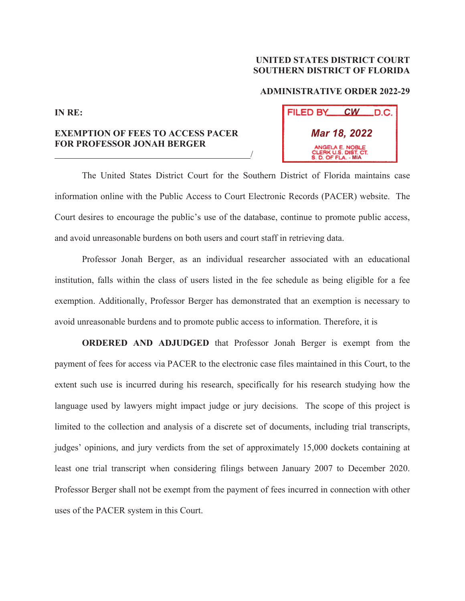## **UNITED STATES DISTRICT COURT SOUTHERN DISTRICT OF FLORIDA**

## **ADMINISTRATIVE ORDER 2022-29**

## **IN RE:**

## **EXEMPTION OF FEES TO ACCESS PACER FOR PROFESSOR JONAH BERGER**  <u>/</u>

| FILED BY     | $\mathcal{C}W$                                                 | LD.C. |
|--------------|----------------------------------------------------------------|-------|
| Mar 18, 2022 |                                                                |       |
|              | ANGELA E. NOBLE<br>CLERK U.S. DIST. CT.<br>S. D. OF FLA. - MIA |       |

 The United States District Court for the Southern District of Florida maintains case information online with the Public Access to Court Electronic Records (PACER) website. The Court desires to encourage the public's use of the database, continue to promote public access, and avoid unreasonable burdens on both users and court staff in retrieving data.

 Professor Jonah Berger, as an individual researcher associated with an educational institution, falls within the class of users listed in the fee schedule as being eligible for a fee exemption. Additionally, Professor Berger has demonstrated that an exemption is necessary to avoid unreasonable burdens and to promote public access to information. Therefore, it is

**ORDERED AND ADJUDGED** that Professor Jonah Berger is exempt from the payment of fees for access via PACER to the electronic case files maintained in this Court, to the extent such use is incurred during his research, specifically for his research studying how the language used by lawyers might impact judge or jury decisions. The scope of this project is limited to the collection and analysis of a discrete set of documents, including trial transcripts, judges' opinions, and jury verdicts from the set of approximately 15,000 dockets containing at least one trial transcript when considering filings between January 2007 to December 2020. Professor Berger shall not be exempt from the payment of fees incurred in connection with other uses of the PACER system in this Court.